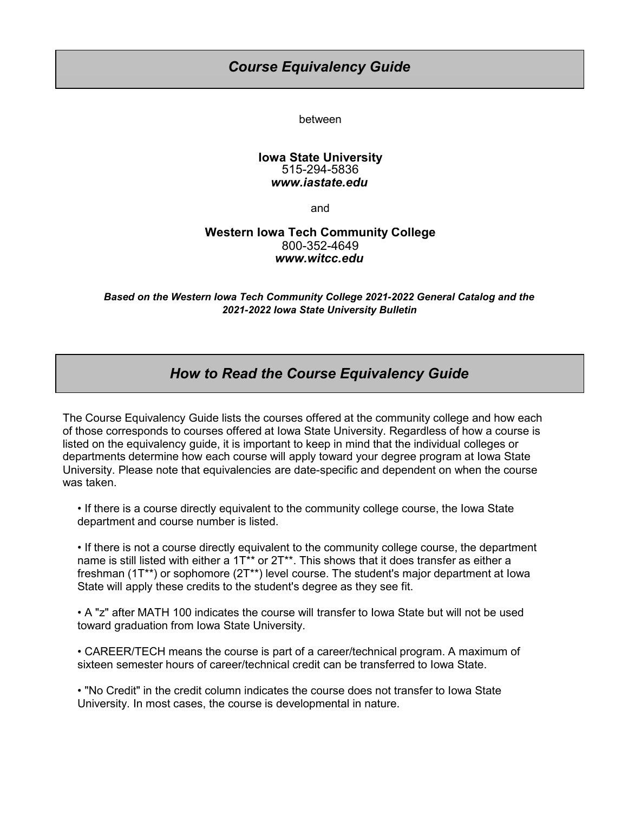## *Course Equivalency Guide*

between

## **Iowa State University** 515-294-5836 *www.iastate.edu*

and

## **Western Iowa Tech Community College** 800-352-4649 *www.witcc.edu*

*2021-2022 Iowa State University Bulletin Based on the Western Iowa Tech Community College 2021-2022 General Catalog and the*

## *How to Read the Course Equivalency Guide*

The Course Equivalency Guide lists the courses offered at the community college and how each of those corresponds to courses offered at Iowa State University. Regardless of how a course is listed on the equivalency guide, it is important to keep in mind that the individual colleges or departments determine how each course will apply toward your degree program at Iowa State University. Please note that equivalencies are date-specific and dependent on when the course was taken.

• If there is a course directly equivalent to the community college course, the Iowa State department and course number is listed.

• If there is not a course directly equivalent to the community college course, the department name is still listed with either a 1T<sup>\*\*</sup> or 2T<sup>\*\*</sup>. This shows that it does transfer as either a freshman (1T\*\*) or sophomore (2T\*\*) level course. The student's major department at Iowa State will apply these credits to the student's degree as they see fit.

• A "z" after MATH 100 indicates the course will transfer to Iowa State but will not be used toward graduation from Iowa State University.

• CAREER/TECH means the course is part of a career/technical program. A maximum of sixteen semester hours of career/technical credit can be transferred to Iowa State.

• "No Credit" in the credit column indicates the course does not transfer to Iowa State University. In most cases, the course is developmental in nature.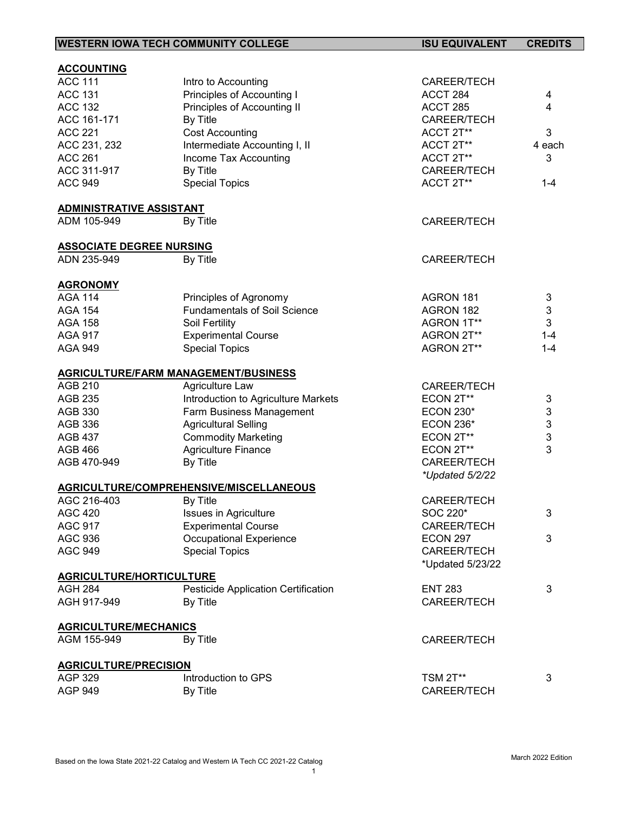|                                         | <b>WESTERN IOWA TECH COMMUNITY COLLEGE</b>  | <b>ISU EQUIVALENT</b>   | <b>CREDITS</b>                        |
|-----------------------------------------|---------------------------------------------|-------------------------|---------------------------------------|
|                                         |                                             |                         |                                       |
| <b>ACCOUNTING</b><br><b>ACC 111</b>     |                                             |                         |                                       |
| <b>ACC 131</b>                          | Intro to Accounting                         | CAREER/TECH<br>ACCT 284 |                                       |
| <b>ACC 132</b>                          | Principles of Accounting I                  |                         | 4                                     |
|                                         | Principles of Accounting II                 | ACCT 285                | 4                                     |
| ACC 161-171                             | By Title                                    | CAREER/TECH             |                                       |
| <b>ACC 221</b>                          | <b>Cost Accounting</b>                      | ACCT 2T**               | 3                                     |
| ACC 231, 232                            | Intermediate Accounting I, II               | ACCT 2T**               | 4 each                                |
| <b>ACC 261</b>                          | Income Tax Accounting                       | ACCT 2T**               | 3                                     |
| ACC 311-917                             | By Title                                    | CAREER/TECH             |                                       |
| <b>ACC 949</b>                          | <b>Special Topics</b>                       | ACCT 2T**               | $1 - 4$                               |
| <b>ADMINISTRATIVE ASSISTANT</b>         |                                             |                         |                                       |
| ADM 105-949                             | By Title                                    | CAREER/TECH             |                                       |
| <b>ASSOCIATE DEGREE NURSING</b>         |                                             |                         |                                       |
| ADN 235-949                             | By Title                                    | <b>CAREER/TECH</b>      |                                       |
| <b>AGRONOMY</b>                         |                                             |                         |                                       |
| <b>AGA 114</b>                          | Principles of Agronomy                      | AGRON 181               | 3                                     |
| <b>AGA 154</b>                          | <b>Fundamentals of Soil Science</b>         | AGRON 182               | 3                                     |
| <b>AGA 158</b>                          | Soil Fertility                              | AGRON 1T**              | 3                                     |
| <b>AGA 917</b>                          | <b>Experimental Course</b>                  | AGRON 2T**              | $1 - 4$                               |
| <b>AGA 949</b>                          | <b>Special Topics</b>                       | AGRON 2T**              | $1 - 4$                               |
|                                         |                                             |                         |                                       |
|                                         | <b>AGRICULTURE/FARM MANAGEMENT/BUSINESS</b> |                         |                                       |
| <b>AGB 210</b>                          | Agriculture Law                             | CAREER/TECH             |                                       |
| <b>AGB 235</b>                          | Introduction to Agriculture Markets         | ECON 2T**               | 3                                     |
| AGB 330                                 | Farm Business Management                    | <b>ECON 230*</b>        | 3                                     |
| AGB 336                                 | <b>Agricultural Selling</b>                 | <b>ECON 236*</b>        | $\begin{array}{c} 3 \\ 3 \end{array}$ |
| <b>AGB 437</b>                          | <b>Commodity Marketing</b>                  | ECON 2T**               |                                       |
| <b>AGB 466</b>                          | <b>Agriculture Finance</b>                  | ECON 2T**               |                                       |
| AGB 470-949                             | By Title                                    | CAREER/TECH             |                                       |
|                                         |                                             | *Updated 5/2/22         |                                       |
|                                         | AGRICULTURE/COMPREHENSIVE/MISCELLANEOUS     |                         |                                       |
| AGC 216-403                             | By Title                                    | CAREER/TECH             |                                       |
| <b>AGC 420</b>                          | <b>Issues in Agriculture</b>                | SOC 220*                | 3                                     |
| <b>AGC 917</b>                          | <b>Experimental Course</b>                  | CAREER/TECH             |                                       |
| <b>AGC 936</b>                          | Occupational Experience                     | <b>ECON 297</b>         | 3                                     |
| <b>AGC 949</b>                          | <b>Special Topics</b>                       | CAREER/TECH             |                                       |
|                                         |                                             | *Updated 5/23/22        |                                       |
| <b>AGRICULTURE/HORTICULTURE</b>         |                                             |                         |                                       |
| <b>AGH 284</b>                          | Pesticide Application Certification         | <b>ENT 283</b>          | 3                                     |
| AGH 917-949                             | By Title                                    | CAREER/TECH             |                                       |
| <b>AGRICULTURE/MECHANICS</b>            |                                             |                         |                                       |
| AGM 155-949                             | By Title                                    | CAREER/TECH             |                                       |
|                                         |                                             |                         |                                       |
| <b>AGRICULTURE/PRECISION</b><br>AGP 329 | Introduction to GPS                         | <b>TSM 2T**</b>         | 3                                     |
| <b>AGP 949</b>                          | By Title                                    | CAREER/TECH             |                                       |
|                                         |                                             |                         |                                       |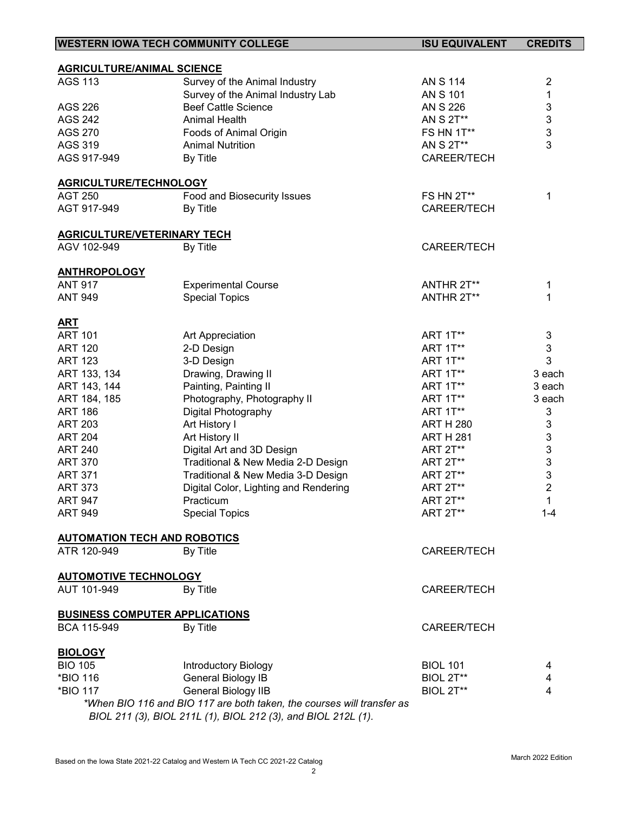| <b>WESTERN IOWA TECH COMMUNITY COLLEGE</b> |                                                                        | <b>ISU EQUIVALENT</b> | <b>CREDITS</b>            |
|--------------------------------------------|------------------------------------------------------------------------|-----------------------|---------------------------|
|                                            |                                                                        |                       |                           |
| <b>AGRICULTURE/ANIMAL SCIENCE</b>          |                                                                        |                       |                           |
| <b>AGS 113</b>                             | Survey of the Animal Industry                                          | <b>AN S 114</b>       | $\overline{2}$            |
|                                            | Survey of the Animal Industry Lab                                      | <b>AN S 101</b>       | $\mathbf{1}$              |
| <b>AGS 226</b>                             | <b>Beef Cattle Science</b>                                             | AN S 226              | $\ensuremath{\mathsf{3}}$ |
| <b>AGS 242</b>                             | Animal Health                                                          | AN S 2T**             | $\mathbf{3}$              |
| <b>AGS 270</b>                             | Foods of Animal Origin                                                 | <b>FS HN 1T**</b>     | 3                         |
| <b>AGS 319</b>                             | <b>Animal Nutrition</b>                                                | AN S 2T**             | 3                         |
| AGS 917-949                                | By Title                                                               | CAREER/TECH           |                           |
| <b>AGRICULTURE/TECHNOLOGY</b>              |                                                                        |                       |                           |
| <b>AGT 250</b>                             | Food and Biosecurity Issues                                            | FS HN 2T**            | 1                         |
| AGT 917-949                                | By Title                                                               | <b>CAREER/TECH</b>    |                           |
|                                            |                                                                        |                       |                           |
| <b>AGRICULTURE/VETERINARY TECH</b>         |                                                                        |                       |                           |
| AGV 102-949                                | By Title                                                               | <b>CAREER/TECH</b>    |                           |
| <b>ANTHROPOLOGY</b>                        |                                                                        |                       |                           |
| <b>ANT 917</b>                             | <b>Experimental Course</b>                                             | ANTHR 2T**            | 1                         |
| <b>ANT 949</b>                             | <b>Special Topics</b>                                                  | ANTHR 2T**            | 1                         |
|                                            |                                                                        |                       |                           |
| <b>ART</b>                                 |                                                                        |                       |                           |
| <b>ART 101</b>                             | Art Appreciation                                                       | <b>ART 1T**</b>       | 3                         |
| <b>ART 120</b>                             | 2-D Design                                                             | <b>ART 1T**</b>       | 3                         |
| <b>ART 123</b>                             | 3-D Design                                                             | <b>ART 1T**</b>       | 3                         |
| ART 133, 134                               | Drawing, Drawing II                                                    | <b>ART 1T**</b>       | 3 each                    |
| ART 143, 144                               | Painting, Painting II                                                  | <b>ART 1T**</b>       | 3 each                    |
| ART 184, 185                               | Photography, Photography II                                            | <b>ART 1T**</b>       | 3 each                    |
| <b>ART 186</b>                             | Digital Photography                                                    | <b>ART 1T**</b>       | 3                         |
| <b>ART 203</b>                             | Art History I                                                          | <b>ART H 280</b>      | 3                         |
| <b>ART 204</b>                             | Art History II                                                         | <b>ART H 281</b>      | $\ensuremath{\mathsf{3}}$ |
| <b>ART 240</b>                             | Digital Art and 3D Design                                              | ART 2T**              | $\ensuremath{\mathsf{3}}$ |
| <b>ART 370</b>                             | Traditional & New Media 2-D Design                                     | <b>ART 2T**</b>       | $\ensuremath{\mathsf{3}}$ |
| <b>ART 371</b>                             | Traditional & New Media 3-D Design                                     | <b>ART 2T**</b>       | $\mathsf 3$               |
| <b>ART 373</b>                             | Digital Color, Lighting and Rendering                                  | <b>ART 2T**</b>       | $\overline{2}$            |
| <b>ART 947</b>                             |                                                                        | <b>ART 2T**</b>       | $\mathbf{1}$              |
|                                            | Practicum                                                              |                       |                           |
| <b>ART 949</b>                             | <b>Special Topics</b>                                                  | <b>ART 2T**</b>       | $1 - 4$                   |
| <b>AUTOMATION TECH AND ROBOTICS</b>        |                                                                        |                       |                           |
| ATR 120-949                                | By Title                                                               | <b>CAREER/TECH</b>    |                           |
| <b>AUTOMOTIVE TECHNOLOGY</b>               |                                                                        |                       |                           |
| AUT 101-949                                |                                                                        | <b>CAREER/TECH</b>    |                           |
|                                            | By Title                                                               |                       |                           |
| <b>BUSINESS COMPUTER APPLICATIONS</b>      |                                                                        |                       |                           |
| BCA 115-949                                | By Title                                                               | CAREER/TECH           |                           |
| <b>BIOLOGY</b>                             |                                                                        |                       |                           |
| <b>BIO 105</b>                             | Introductory Biology                                                   | <b>BIOL 101</b>       | 4                         |
| *BIO 116                                   | General Biology IB                                                     | BIOL 2T**             | 4                         |
| *BIO 117                                   | General Biology IIB                                                    | BIOL 2T**             | 4                         |
|                                            | *When BIO 116 and BIO 117 are both taken, the courses will transfer as |                       |                           |
|                                            | BIOL 211 (3), BIOL 211L (1), BIOL 212 (3), and BIOL 212L (1).          |                       |                           |

J.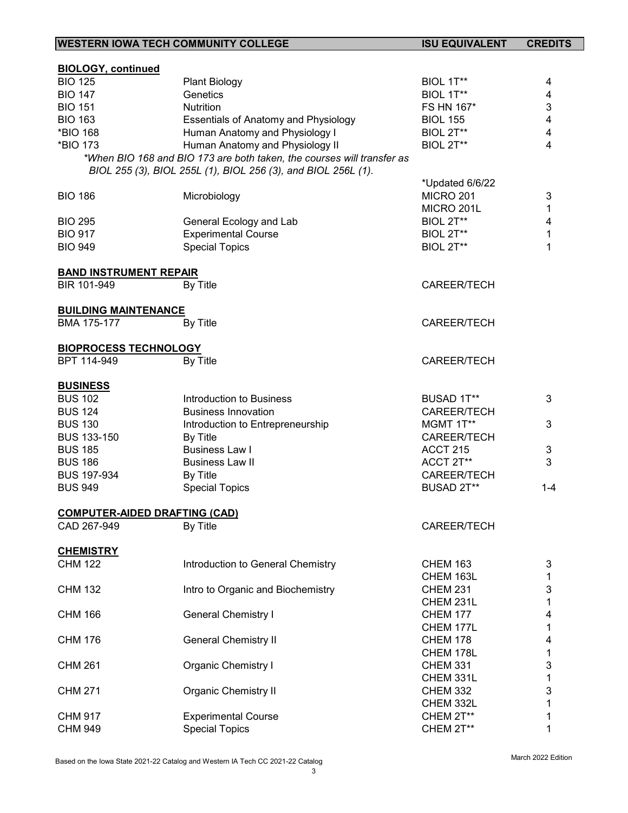| <b>WESTERN IOWA TECH COMMUNITY COLLEGE</b>          |                                                                        | <b>ISU EQUIVALENT</b> | <b>CREDITS</b>          |
|-----------------------------------------------------|------------------------------------------------------------------------|-----------------------|-------------------------|
|                                                     |                                                                        |                       |                         |
| <b>BIOLOGY, continued</b>                           |                                                                        |                       |                         |
| <b>BIO 125</b>                                      | <b>Plant Biology</b>                                                   | BIOL 1T**             | 4                       |
| <b>BIO 147</b>                                      | Genetics                                                               | BIOL 1T**             | 4                       |
| <b>BIO 151</b>                                      | Nutrition                                                              | FS HN 167*            | 3                       |
| <b>BIO 163</b>                                      | <b>Essentials of Anatomy and Physiology</b>                            | <b>BIOL 155</b>       | $\overline{\mathbf{4}}$ |
| *BIO 168                                            | Human Anatomy and Physiology I                                         | BIOL 2T**             | 4                       |
| *BIO 173                                            | Human Anatomy and Physiology II                                        | BIOL 2T**             | 4                       |
|                                                     | *When BIO 168 and BIO 173 are both taken, the courses will transfer as |                       |                         |
|                                                     | BIOL 255 (3), BIOL 255L (1), BIOL 256 (3), and BIOL 256L (1).          |                       |                         |
|                                                     |                                                                        | *Updated 6/6/22       |                         |
| <b>BIO 186</b>                                      | Microbiology                                                           | <b>MICRO 201</b>      | 3                       |
|                                                     |                                                                        | MICRO 201L            | 1                       |
| <b>BIO 295</b>                                      | General Ecology and Lab                                                | BIOL 2T**             | 4                       |
| <b>BIO 917</b>                                      | <b>Experimental Course</b>                                             | BIOL 2T**             | 1                       |
| <b>BIO 949</b>                                      | <b>Special Topics</b>                                                  | BIOL 2T**             | 1                       |
|                                                     |                                                                        |                       |                         |
| <b>BAND INSTRUMENT REPAIR</b>                       |                                                                        |                       |                         |
| BIR 101-949                                         | By Title                                                               | <b>CAREER/TECH</b>    |                         |
|                                                     |                                                                        |                       |                         |
| <b>BUILDING MAINTENANCE</b>                         |                                                                        |                       |                         |
| BMA 175-177                                         | By Title                                                               | <b>CAREER/TECH</b>    |                         |
|                                                     |                                                                        |                       |                         |
| <b>BIOPROCESS TECHNOLOGY</b>                        |                                                                        |                       |                         |
| BPT 114-949                                         | By Title                                                               | <b>CAREER/TECH</b>    |                         |
|                                                     |                                                                        |                       |                         |
| <b>BUSINESS</b>                                     |                                                                        |                       |                         |
| <b>BUS 102</b>                                      | Introduction to Business                                               | BUSAD 1T**            | 3                       |
| <b>BUS 124</b>                                      | <b>Business Innovation</b>                                             | <b>CAREER/TECH</b>    |                         |
| <b>BUS 130</b>                                      |                                                                        | MGMT 1T**             | 3                       |
| <b>BUS 133-150</b>                                  | Introduction to Entrepreneurship<br>By Title                           | <b>CAREER/TECH</b>    |                         |
| <b>BUS 185</b>                                      | <b>Business Law I</b>                                                  | <b>ACCT 215</b>       | 3                       |
|                                                     |                                                                        |                       | 3                       |
| <b>BUS 186</b>                                      | <b>Business Law II</b>                                                 | ACCT 2T**             |                         |
| <b>BUS 197-934</b>                                  | By Title                                                               | CAREER/TECH           |                         |
| <b>BUS 949</b>                                      | <b>Special Topics</b>                                                  | BUSAD 2T**            | $1 - 4$                 |
|                                                     |                                                                        |                       |                         |
| <b>COMPUTER-AIDED DRAFTING (CAD)</b><br>CAD 267-949 | By Title                                                               | <b>CAREER/TECH</b>    |                         |
|                                                     |                                                                        |                       |                         |
| <b>CHEMISTRY</b>                                    |                                                                        |                       |                         |
| <b>CHM 122</b>                                      | Introduction to General Chemistry                                      | <b>CHEM 163</b>       |                         |
|                                                     |                                                                        |                       | 3                       |
|                                                     |                                                                        | CHEM 163L             | 1                       |
| <b>CHM 132</b>                                      | Intro to Organic and Biochemistry                                      | <b>CHEM 231</b>       | 3                       |
|                                                     |                                                                        | CHEM 231L             | 1                       |
| <b>CHM 166</b>                                      | <b>General Chemistry I</b>                                             | <b>CHEM 177</b>       | 4                       |
|                                                     |                                                                        | CHEM 177L             | 1                       |
| <b>CHM 176</b>                                      | <b>General Chemistry II</b>                                            | <b>CHEM 178</b>       | 4                       |
|                                                     |                                                                        | CHEM 178L             | 1                       |
| <b>CHM 261</b>                                      | <b>Organic Chemistry I</b>                                             | <b>CHEM 331</b>       | 3                       |
|                                                     |                                                                        | CHEM 331L             | 1                       |
| <b>CHM 271</b>                                      | <b>Organic Chemistry II</b>                                            | <b>CHEM 332</b>       | 3                       |
|                                                     |                                                                        | CHEM 332L             | 1                       |
| <b>CHM 917</b>                                      | <b>Experimental Course</b>                                             | CHEM 2T**             | 1                       |
| <b>CHM 949</b>                                      | <b>Special Topics</b>                                                  | CHEM 2T**             | 1                       |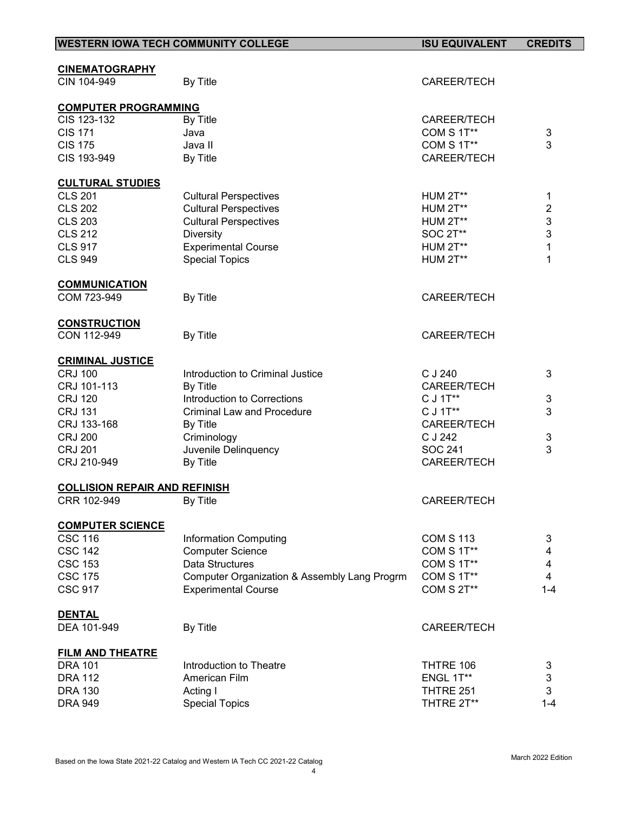| <b>WESTERN IOWA TECH COMMUNITY COLLEGE</b> |                                              | <b>ISU EQUIVALENT</b> | <b>CREDITS</b>                 |
|--------------------------------------------|----------------------------------------------|-----------------------|--------------------------------|
|                                            |                                              |                       |                                |
| <b>CINEMATOGRAPHY</b>                      |                                              |                       |                                |
| CIN 104-949                                | By Title                                     | <b>CAREER/TECH</b>    |                                |
| <b>COMPUTER PROGRAMMING</b>                |                                              |                       |                                |
| CIS 123-132                                | By Title                                     | <b>CAREER/TECH</b>    |                                |
| <b>CIS 171</b>                             | Java                                         | COM S 1T**            | 3                              |
| <b>CIS 175</b>                             | Java II                                      | COM S 1T**            | 3                              |
| CIS 193-949                                | By Title                                     | CAREER/TECH           |                                |
| <b>CULTURAL STUDIES</b>                    |                                              |                       |                                |
| <b>CLS 201</b>                             | <b>Cultural Perspectives</b>                 | HUM 2T**              | $\mathbf 1$                    |
| <b>CLS 202</b>                             | <b>Cultural Perspectives</b>                 | <b>HUM 2T**</b>       | $\overline{\mathbf{c}}$        |
| <b>CLS 203</b>                             | <b>Cultural Perspectives</b>                 | <b>HUM 2T**</b>       | 3                              |
| <b>CLS 212</b>                             | <b>Diversity</b>                             | SOC 2T**              | 3                              |
|                                            |                                              |                       | 1                              |
| <b>CLS 917</b>                             | <b>Experimental Course</b>                   | <b>HUM 2T**</b>       |                                |
| <b>CLS 949</b>                             | <b>Special Topics</b>                        | <b>HUM 2T**</b>       | 1                              |
| <b>COMMUNICATION</b>                       |                                              |                       |                                |
| COM 723-949                                | By Title                                     | CAREER/TECH           |                                |
| <b>CONSTRUCTION</b>                        |                                              |                       |                                |
| CON 112-949                                | By Title                                     | CAREER/TECH           |                                |
| <b>CRIMINAL JUSTICE</b>                    |                                              |                       |                                |
| <b>CRJ 100</b>                             | Introduction to Criminal Justice             | C J 240               | 3                              |
| CRJ 101-113                                | By Title                                     | <b>CAREER/TECH</b>    |                                |
| <b>CRJ 120</b>                             | Introduction to Corrections                  | C J 1T**              | $\sqrt{3}$                     |
| <b>CRJ 131</b>                             | <b>Criminal Law and Procedure</b>            | C J 1T**              | 3                              |
| CRJ 133-168                                | By Title                                     | CAREER/TECH           |                                |
| <b>CRJ 200</b>                             | Criminology                                  | C J 242               | $\mathsf 3$                    |
|                                            |                                              | SOC 241               | 3                              |
| <b>CRJ 201</b>                             | Juvenile Delinquency                         |                       |                                |
| CRJ 210-949                                | By Title                                     | <b>CAREER/TECH</b>    |                                |
| <b>COLLISION REPAIR AND REFINISH</b>       |                                              |                       |                                |
| CRR 102-949                                | By Title                                     | CAREER/TECH           |                                |
| <b>COMPUTER SCIENCE</b>                    |                                              |                       |                                |
| <b>CSC 116</b>                             | <b>Information Computing</b>                 | <b>COM S 113</b>      | 3                              |
| <b>CSC 142</b>                             | <b>Computer Science</b>                      | COM S 1T**            | 4                              |
| <b>CSC 153</b>                             | Data Structures                              | COM S 1T**            | $\overline{\mathcal{A}}$       |
| <b>CSC 175</b>                             | Computer Organization & Assembly Lang Progrm | COM S 1T**            | 4                              |
| <b>CSC 917</b>                             | <b>Experimental Course</b>                   | COM S 2T**            | $1 - 4$                        |
| <b>DENTAL</b>                              |                                              |                       |                                |
| DEA 101-949                                | By Title                                     | <b>CAREER/TECH</b>    |                                |
|                                            |                                              |                       |                                |
| <b>FILM AND THEATRE</b><br><b>DRA 101</b>  | Introduction to Theatre                      | THTRE 106             |                                |
| <b>DRA 112</b>                             | American Film                                | ENGL 1T**             | 3                              |
|                                            |                                              |                       | $\ensuremath{\mathsf{3}}$<br>3 |
| <b>DRA 130</b>                             | Acting I                                     | THTRE 251             |                                |
| <b>DRA 949</b>                             | <b>Special Topics</b>                        | THTRE 2T**            | $1 - 4$                        |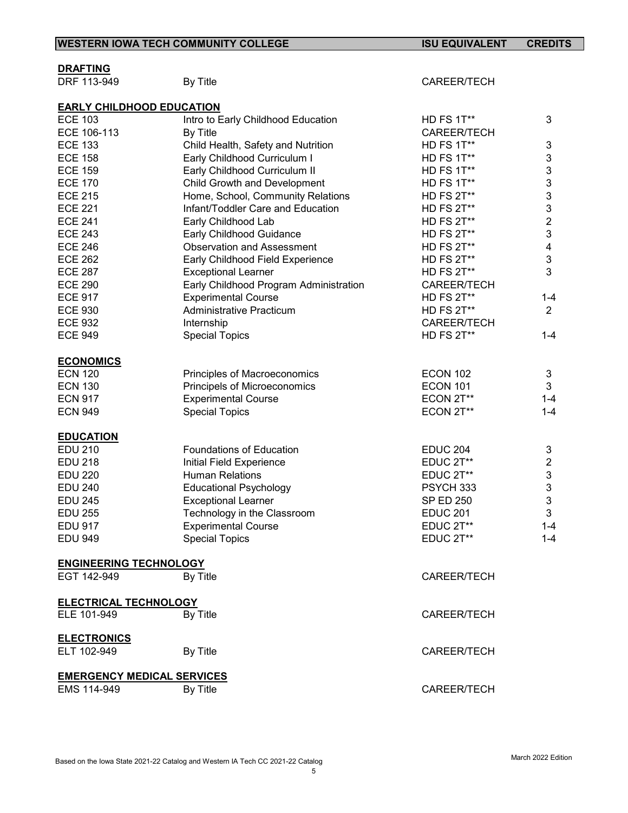| <b>WESTERN IOWA TECH COMMUNITY COLLEGE</b> |                                                               | <b>ISU EQUIVALENT</b> | <b>CREDITS</b>            |  |
|--------------------------------------------|---------------------------------------------------------------|-----------------------|---------------------------|--|
|                                            |                                                               |                       |                           |  |
| <b>DRAFTING</b>                            |                                                               |                       |                           |  |
| DRF 113-949                                | By Title                                                      | <b>CAREER/TECH</b>    |                           |  |
| <b>EARLY CHILDHOOD EDUCATION</b>           |                                                               |                       |                           |  |
| <b>ECE 103</b>                             | Intro to Early Childhood Education                            | HD FS 1T**            | 3                         |  |
| ECE 106-113                                | By Title                                                      | <b>CAREER/TECH</b>    |                           |  |
| <b>ECE 133</b>                             | Child Health, Safety and Nutrition                            | HD FS 1T**            | 3                         |  |
| <b>ECE 158</b>                             | Early Childhood Curriculum I                                  | HD FS 1T**            | $\mathbf{3}$              |  |
| <b>ECE 159</b>                             | Early Childhood Curriculum II                                 | HD FS 1T**            | $\mathsf 3$               |  |
| <b>ECE 170</b>                             | Child Growth and Development                                  | HD FS 1T**            | $\mathbf{3}$              |  |
| <b>ECE 215</b>                             | Home, School, Community Relations                             | HD FS 2T**            | $\mathfrak{S}$            |  |
| <b>ECE 221</b>                             | Infant/Toddler Care and Education                             | <b>HD FS 2T**</b>     | 3                         |  |
| <b>ECE 241</b>                             | Early Childhood Lab                                           | HD FS 2T**            | $\overline{2}$            |  |
| <b>ECE 243</b>                             | Early Childhood Guidance                                      | HD FS 2T**            | $\mathbf{3}$              |  |
| <b>ECE 246</b>                             | <b>Observation and Assessment</b>                             | <b>HD FS 2T**</b>     | 4                         |  |
| <b>ECE 262</b>                             | Early Childhood Field Experience                              | HD FS 2T**            | $\ensuremath{\mathsf{3}}$ |  |
| <b>ECE 287</b>                             | <b>Exceptional Learner</b>                                    | HD FS 2T**            | 3                         |  |
| <b>ECE 290</b>                             |                                                               | CAREER/TECH           |                           |  |
|                                            | Early Childhood Program Administration                        |                       |                           |  |
| <b>ECE 917</b>                             | <b>Experimental Course</b><br><b>Administrative Practicum</b> | HD FS 2T**            | $1 - 4$                   |  |
| <b>ECE 930</b>                             |                                                               | <b>HD FS 2T**</b>     | $\overline{2}$            |  |
| <b>ECE 932</b>                             | Internship                                                    | <b>CAREER/TECH</b>    |                           |  |
| <b>ECE 949</b>                             | <b>Special Topics</b>                                         | HD FS 2T**            | $1 - 4$                   |  |
| <b>ECONOMICS</b>                           |                                                               |                       |                           |  |
| <b>ECN 120</b>                             | Principles of Macroeconomics                                  | <b>ECON 102</b>       | 3                         |  |
| <b>ECN 130</b>                             | Principels of Microeconomics                                  | <b>ECON 101</b>       | 3                         |  |
| <b>ECN 917</b>                             | <b>Experimental Course</b>                                    | ECON 2T**             | $1 - 4$                   |  |
| <b>ECN 949</b>                             | <b>Special Topics</b>                                         | ECON 2T**             | $1 - 4$                   |  |
|                                            |                                                               |                       |                           |  |
| <b>EDUCATION</b>                           |                                                               |                       |                           |  |
| <b>EDU 210</b>                             | <b>Foundations of Education</b>                               | <b>EDUC 204</b>       | 3                         |  |
| <b>EDU 218</b>                             | Initial Field Experience                                      | EDUC 2T**             | $\boldsymbol{2}$          |  |
| <b>EDU 220</b>                             | <b>Human Relations</b>                                        | EDUC 2T**             | 3                         |  |
| <b>EDU 240</b>                             | <b>Educational Psychology</b>                                 | PSYCH 333             | 3                         |  |
| <b>EDU 245</b>                             | <b>Exceptional Learner</b>                                    | <b>SP ED 250</b>      | 3                         |  |
| <b>EDU 255</b>                             | Technology in the Classroom                                   | <b>EDUC 201</b>       | 3                         |  |
| <b>EDU 917</b>                             | <b>Experimental Course</b>                                    | EDUC 2T**             | $1 - 4$                   |  |
| <b>EDU 949</b>                             | <b>Special Topics</b>                                         | EDUC 2T**             | $1 - 4$                   |  |
| <b>ENGINEERING TECHNOLOGY</b>              |                                                               |                       |                           |  |
| EGT 142-949                                | By Title                                                      | CAREER/TECH           |                           |  |
|                                            |                                                               |                       |                           |  |
| <b>ELECTRICAL TECHNOLOGY</b>               |                                                               |                       |                           |  |
| ELE 101-949                                | By Title                                                      | CAREER/TECH           |                           |  |
| <b>ELECTRONICS</b>                         |                                                               |                       |                           |  |
| ELT 102-949                                | By Title                                                      | <b>CAREER/TECH</b>    |                           |  |
|                                            |                                                               |                       |                           |  |
|                                            | <b>EMERGENCY MEDICAL SERVICES</b>                             |                       |                           |  |
| EMS 114-949                                | By Title                                                      | CAREER/TECH           |                           |  |
|                                            |                                                               |                       |                           |  |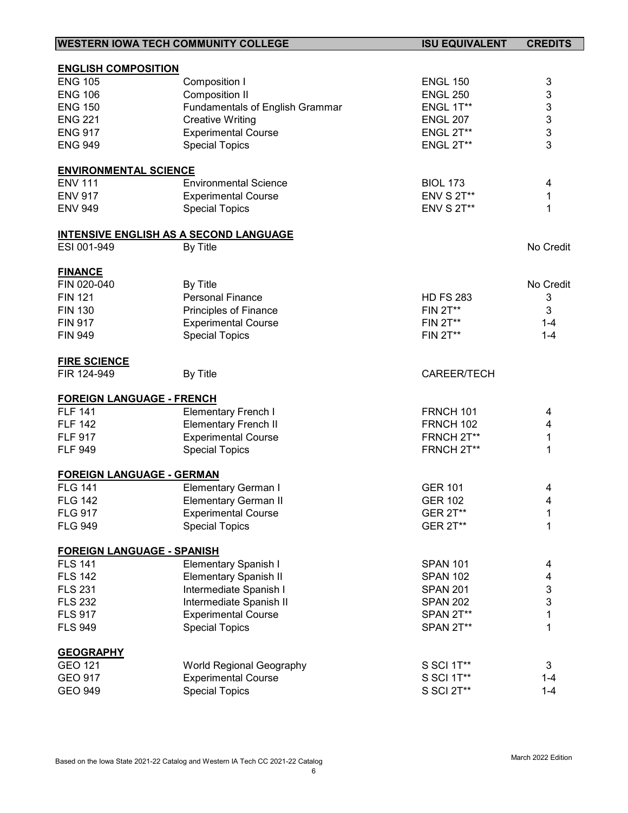| <b>WESTERN IOWA TECH COMMUNITY COLLEGE</b>    |                                 | <b>ISU EQUIVALENT</b> | <b>CREDITS</b>            |
|-----------------------------------------------|---------------------------------|-----------------------|---------------------------|
|                                               |                                 |                       |                           |
| <b>ENGLISH COMPOSITION</b>                    |                                 |                       |                           |
| <b>ENG 105</b>                                | Composition I                   | <b>ENGL 150</b>       | 3                         |
| <b>ENG 106</b>                                | <b>Composition II</b>           | <b>ENGL 250</b>       | 3                         |
| <b>ENG 150</b>                                | Fundamentals of English Grammar | ENGL 1T**             | 3                         |
| <b>ENG 221</b>                                | <b>Creative Writing</b>         | <b>ENGL 207</b>       | 3                         |
| <b>ENG 917</b>                                | <b>Experimental Course</b>      | <b>ENGL 2T**</b>      | 3                         |
| <b>ENG 949</b>                                | <b>Special Topics</b>           | <b>ENGL 2T**</b>      | 3                         |
| <b>ENVIRONMENTAL SCIENCE</b>                  |                                 |                       |                           |
| <b>ENV 111</b>                                | <b>Environmental Science</b>    | <b>BIOL 173</b>       | 4                         |
| <b>ENV 917</b>                                | <b>Experimental Course</b>      | <b>ENV S 2T**</b>     | $\mathbf 1$               |
| <b>ENV 949</b>                                | <b>Special Topics</b>           | <b>ENV S 2T**</b>     | 1                         |
| <b>INTENSIVE ENGLISH AS A SECOND LANGUAGE</b> |                                 |                       |                           |
| ESI 001-949                                   | By Title                        |                       | No Credit                 |
|                                               |                                 |                       |                           |
| <b>FINANCE</b>                                |                                 |                       |                           |
| FIN 020-040                                   | By Title                        |                       | No Credit                 |
| <b>FIN 121</b>                                | <b>Personal Finance</b>         | <b>HD FS 283</b>      | 3                         |
| <b>FIN 130</b>                                | Principles of Finance           | <b>FIN 2T**</b>       | 3                         |
| <b>FIN 917</b>                                | <b>Experimental Course</b>      | <b>FIN 2T**</b>       | $1 - 4$                   |
| <b>FIN 949</b>                                | <b>Special Topics</b>           | <b>FIN 2T**</b>       | $1 - 4$                   |
| <b>FIRE SCIENCE</b>                           |                                 |                       |                           |
| FIR 124-949                                   | By Title                        | CAREER/TECH           |                           |
|                                               |                                 |                       |                           |
| <b>FOREIGN LANGUAGE - FRENCH</b>              |                                 |                       |                           |
| <b>FLF 141</b>                                | <b>Elementary French I</b>      | FRNCH 101             | 4                         |
| <b>FLF 142</b>                                | <b>Elementary French II</b>     | FRNCH 102             | 4                         |
| <b>FLF 917</b>                                | <b>Experimental Course</b>      | FRNCH 2T**            | 1                         |
| <b>FLF 949</b>                                | <b>Special Topics</b>           | FRNCH 2T**            | 1                         |
| <b>FOREIGN LANGUAGE - GERMAN</b>              |                                 |                       |                           |
| <b>FLG 141</b>                                | <b>Elementary German I</b>      | <b>GER 101</b>        | 4                         |
| <b>FLG 142</b>                                | <b>Elementary German II</b>     | <b>GER 102</b>        | 4                         |
| <b>FLG 917</b>                                | <b>Experimental Course</b>      | <b>GER 2T**</b>       | 1                         |
| <b>FLG 949</b>                                | <b>Special Topics</b>           | <b>GER 2T**</b>       | 1                         |
| <b>FOREIGN LANGUAGE - SPANISH</b>             |                                 |                       |                           |
| <b>FLS 141</b>                                | <b>Elementary Spanish I</b>     | <b>SPAN 101</b>       | 4                         |
| <b>FLS 142</b>                                | <b>Elementary Spanish II</b>    | <b>SPAN 102</b>       | $\overline{\mathbf{4}}$   |
| <b>FLS 231</b>                                | Intermediate Spanish I          | <b>SPAN 201</b>       | $\ensuremath{\mathsf{3}}$ |
| <b>FLS 232</b>                                | Intermediate Spanish II         | <b>SPAN 202</b>       | 3                         |
| <b>FLS 917</b>                                | <b>Experimental Course</b>      | SPAN 2T**             | $\mathbf 1$               |
| <b>FLS 949</b>                                | <b>Special Topics</b>           | SPAN 2T**             | 1                         |
|                                               |                                 |                       |                           |
| <b>GEOGRAPHY</b>                              |                                 |                       |                           |
| <b>GEO 121</b>                                | <b>World Regional Geography</b> | S SCI 1T**            | 3                         |
| <b>GEO 917</b>                                | <b>Experimental Course</b>      | S SCI 1T**            | $1 - 4$                   |
| <b>GEO 949</b>                                | <b>Special Topics</b>           | S SCI 2T**            | $1 - 4$                   |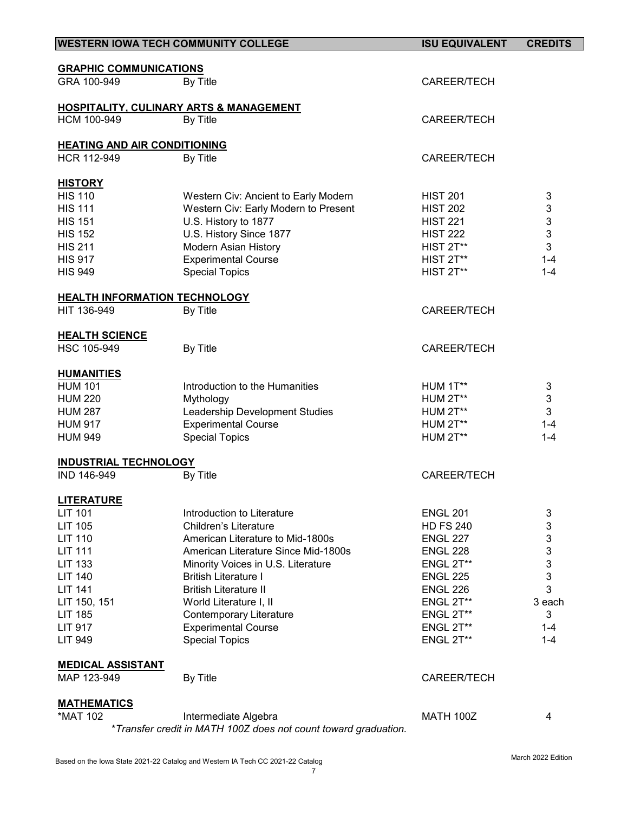|                                                     | <b>WESTERN IOWA TECH COMMUNITY COLLEGE</b>                      | <b>ISU EQUIVALENT</b> | <b>CREDITS</b>            |
|-----------------------------------------------------|-----------------------------------------------------------------|-----------------------|---------------------------|
|                                                     |                                                                 |                       |                           |
| <b>GRAPHIC COMMUNICATIONS</b>                       |                                                                 |                       |                           |
| GRA 100-949                                         | By Title                                                        | CAREER/TECH           |                           |
|                                                     |                                                                 |                       |                           |
| HCM 100-949                                         | <b>HOSPITALITY, CULINARY ARTS &amp; MANAGEMENT</b>              |                       |                           |
|                                                     | By Title                                                        | CAREER/TECH           |                           |
| <b>HEATING AND AIR CONDITIONING</b>                 |                                                                 |                       |                           |
| HCR 112-949                                         | By Title                                                        | CAREER/TECH           |                           |
|                                                     |                                                                 |                       |                           |
| <b>HISTORY</b>                                      |                                                                 |                       |                           |
| <b>HIS 110</b>                                      | Western Civ: Ancient to Early Modern                            | <b>HIST 201</b>       | 3                         |
| <b>HIS 111</b>                                      | Western Civ: Early Modern to Present                            | <b>HIST 202</b>       | 3                         |
| <b>HIS 151</b>                                      | U.S. History to 1877                                            | <b>HIST 221</b>       | $\mathfrak{S}$            |
| <b>HIS 152</b>                                      | U.S. History Since 1877                                         | <b>HIST 222</b>       | 3                         |
| <b>HIS 211</b>                                      | <b>Modern Asian History</b>                                     | HIST 2T**             | 3                         |
| <b>HIS 917</b>                                      | <b>Experimental Course</b>                                      | HIST 2T**             | $1 - 4$                   |
| <b>HIS 949</b>                                      | <b>Special Topics</b>                                           | HIST 2T**             | $1 - 4$                   |
|                                                     |                                                                 |                       |                           |
| <b>HEALTH INFORMATION TECHNOLOGY</b><br>HIT 136-949 | By Title                                                        | CAREER/TECH           |                           |
|                                                     |                                                                 |                       |                           |
| <b>HEALTH SCIENCE</b>                               |                                                                 |                       |                           |
| HSC 105-949                                         | By Title                                                        | CAREER/TECH           |                           |
|                                                     |                                                                 |                       |                           |
| <b>HUMANITIES</b>                                   |                                                                 |                       |                           |
| <b>HUM 101</b>                                      | Introduction to the Humanities                                  | HUM 1T**              | 3                         |
| <b>HUM 220</b>                                      | Mythology                                                       | HUM 2T**              | $\ensuremath{\mathsf{3}}$ |
| <b>HUM 287</b>                                      | Leadership Development Studies                                  | HUM 2T**              | 3                         |
| <b>HUM 917</b>                                      | <b>Experimental Course</b>                                      | HUM 2T**              | $1 - 4$                   |
| <b>HUM 949</b>                                      | <b>Special Topics</b>                                           | HUM 2T**              | $1 - 4$                   |
| <b>INDUSTRIAL TECHNOLOGY</b>                        |                                                                 |                       |                           |
| IND 146-949                                         | By Title                                                        | CAREER/TECH           |                           |
|                                                     |                                                                 |                       |                           |
| <b>LITERATURE</b>                                   |                                                                 |                       |                           |
| LIT 101                                             | Introduction to Literature                                      | <b>ENGL 201</b>       | 3                         |
| LIT 105                                             | <b>Children's Literature</b>                                    | <b>HD FS 240</b>      | 3                         |
| <b>LIT 110</b>                                      | American Literature to Mid-1800s                                | <b>ENGL 227</b>       | 3                         |
| <b>LIT 111</b>                                      | American Literature Since Mid-1800s                             | <b>ENGL 228</b>       | 3                         |
| <b>LIT 133</b>                                      | Minority Voices in U.S. Literature                              | ENGL 2T**             | 3                         |
| <b>LIT 140</b>                                      | <b>British Literature I</b>                                     | <b>ENGL 225</b>       | 3                         |
| <b>LIT 141</b>                                      | <b>British Literature II</b>                                    | <b>ENGL 226</b>       | 3                         |
| LIT 150, 151                                        | World Literature I, II                                          | ENGL 2T**             | 3 each                    |
| <b>LIT 185</b>                                      | <b>Contemporary Literature</b>                                  | ENGL 2T**             | 3                         |
| <b>LIT 917</b>                                      | <b>Experimental Course</b>                                      | ENGL 2T**             | $1 - 4$                   |
| LIT 949                                             | <b>Special Topics</b>                                           | ENGL 2T**             | $1 - 4$                   |
| <b>MEDICAL ASSISTANT</b>                            |                                                                 |                       |                           |
| MAP 123-949                                         | By Title                                                        | CAREER/TECH           |                           |
|                                                     |                                                                 |                       |                           |
| <b>MATHEMATICS</b>                                  |                                                                 |                       |                           |
| *MAT 102                                            | Intermediate Algebra                                            | <b>MATH 100Z</b>      | 4                         |
|                                                     | *Transfer credit in MATH 100Z does not count toward graduation. |                       |                           |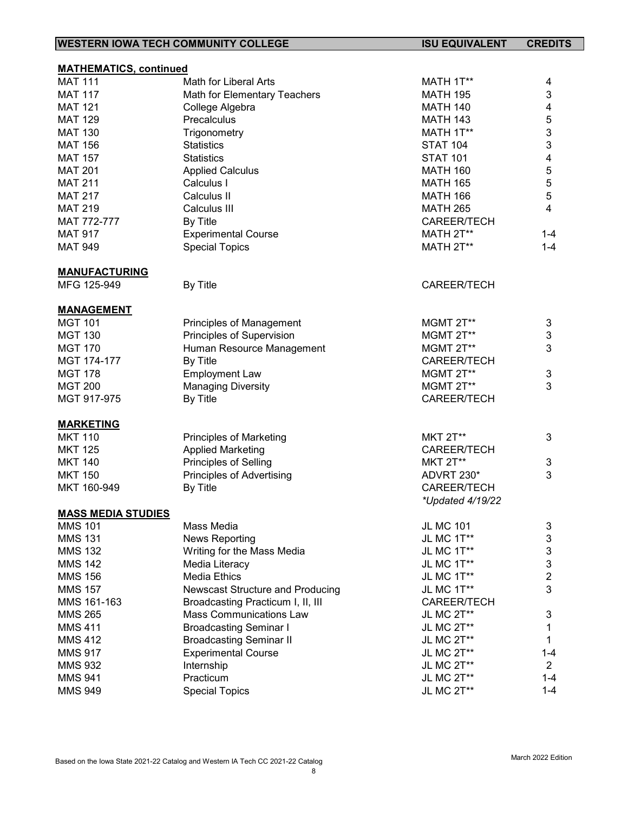| <b>WESTERN IOWA TECH COMMUNITY COLLEGE</b>      |                                                                     | <b>ISU EQUIVALENT</b>     | <b>CREDITS</b> |
|-------------------------------------------------|---------------------------------------------------------------------|---------------------------|----------------|
|                                                 |                                                                     |                           |                |
| <b>MATHEMATICS, continued</b><br><b>MAT 111</b> | Math for Liberal Arts                                               | MATH 1T**                 | 4              |
| <b>MAT 117</b>                                  | Math for Elementary Teachers                                        | <b>MATH 195</b>           | 3              |
| <b>MAT 121</b>                                  |                                                                     | <b>MATH 140</b>           | 4              |
| <b>MAT 129</b>                                  | College Algebra<br>Precalculus                                      |                           |                |
|                                                 |                                                                     | <b>MATH 143</b>           | 5              |
| <b>MAT 130</b>                                  | Trigonometry                                                        | MATH 1T**                 | 3              |
| <b>MAT 156</b>                                  | <b>Statistics</b>                                                   | <b>STAT 104</b>           | 3              |
| <b>MAT 157</b>                                  | <b>Statistics</b>                                                   | <b>STAT 101</b>           | 4              |
| <b>MAT 201</b>                                  | <b>Applied Calculus</b>                                             | <b>MATH 160</b>           | 5              |
| <b>MAT 211</b>                                  | Calculus I                                                          | <b>MATH 165</b>           | 5              |
| <b>MAT 217</b>                                  | Calculus II                                                         | <b>MATH 166</b>           | 5              |
| <b>MAT 219</b>                                  | Calculus III                                                        | <b>MATH 265</b>           | 4              |
| MAT 772-777                                     | By Title                                                            | CAREER/TECH               |                |
| <b>MAT 917</b>                                  | <b>Experimental Course</b>                                          | MATH 2T**                 | $1 - 4$        |
| <b>MAT 949</b>                                  | <b>Special Topics</b>                                               | MATH 2T**                 | $1 - 4$        |
| <b>MANUFACTURING</b>                            |                                                                     |                           |                |
| MFG 125-949                                     | By Title                                                            | <b>CAREER/TECH</b>        |                |
| <b>MANAGEMENT</b>                               |                                                                     |                           |                |
| <b>MGT 101</b>                                  | Principles of Management                                            | MGMT 2T**                 | 3              |
| <b>MGT 130</b>                                  | Principles of Supervision                                           | MGMT 2T**                 | 3              |
| <b>MGT 170</b>                                  | Human Resource Management                                           | MGMT 2T**                 | 3              |
| MGT 174-177                                     | By Title                                                            | CAREER/TECH               |                |
| <b>MGT 178</b>                                  | <b>Employment Law</b>                                               | MGMT 2T**                 | 3              |
| <b>MGT 200</b>                                  | <b>Managing Diversity</b>                                           | MGMT 2T**                 | 3              |
| MGT 917-975                                     | By Title                                                            | CAREER/TECH               |                |
| <b>MARKETING</b>                                |                                                                     |                           |                |
| <b>MKT 110</b>                                  | <b>Principles of Marketing</b>                                      | <b>MKT 2T**</b>           | 3              |
| <b>MKT 125</b>                                  | <b>Applied Marketing</b>                                            | CAREER/TECH               |                |
| <b>MKT 140</b>                                  | Principles of Selling                                               | <b>MKT 2T**</b>           | 3              |
| <b>MKT 150</b>                                  | <b>Principles of Advertising</b>                                    | ADVRT 230*                | 3              |
| MKT 160-949                                     | By Title                                                            | <b>CAREER/TECH</b>        |                |
|                                                 |                                                                     | *Updated 4/19/22          |                |
| <b>MASS MEDIA STUDIES</b>                       |                                                                     |                           |                |
| <b>MMS 101</b>                                  | Mass Media                                                          | <b>JL MC 101</b>          | $\sqrt{3}$     |
| <b>MMS 131</b>                                  | <b>News Reporting</b>                                               | JL MC 1T**                | 3              |
| <b>MMS 132</b>                                  | Writing for the Mass Media                                          | JL MC 1T**                | $\mathsf 3$    |
| <b>MMS 142</b>                                  | Media Literacy                                                      | JL MC 1T**                | 3              |
| <b>MMS 156</b>                                  | <b>Media Ethics</b>                                                 | JL MC 1T**                | $\overline{2}$ |
| <b>MMS 157</b>                                  |                                                                     |                           | 3              |
| MMS 161-163                                     | Newscast Structure and Producing                                    | JL MC 1T**                |                |
|                                                 | Broadcasting Practicum I, II, III<br><b>Mass Communications Law</b> | CAREER/TECH<br>JL MC 2T** |                |
| <b>MMS 265</b>                                  |                                                                     |                           | 3              |
| <b>MMS 411</b>                                  | <b>Broadcasting Seminar I</b>                                       | JL MC 2T**                | 1              |
| <b>MMS 412</b>                                  | <b>Broadcasting Seminar II</b>                                      | JL MC 2T**                | 1              |
| <b>MMS 917</b>                                  | <b>Experimental Course</b>                                          | JL MC 2T**                | $1 - 4$        |
| <b>MMS 932</b>                                  | Internship                                                          | JL MC 2T**                | $\overline{2}$ |
| <b>MMS 941</b>                                  | Practicum                                                           | JL MC 2T**                | $1 - 4$        |
| <b>MMS 949</b>                                  | <b>Special Topics</b>                                               | JL MC 2T**                | $1 - 4$        |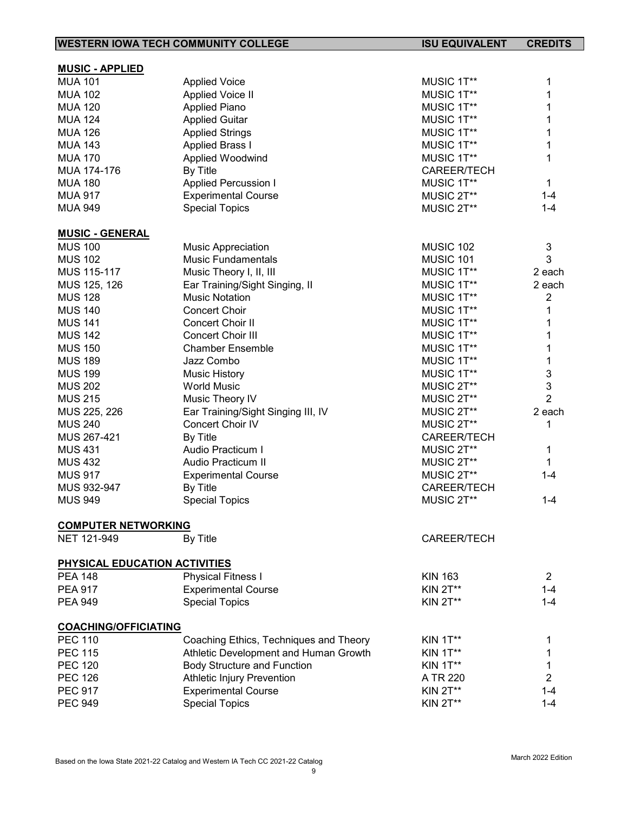| <b>WESTERN IOWA TECH COMMUNITY COLLEGE</b> |                                        | <b>ISU EQUIVALENT</b> | <b>CREDITS</b>          |
|--------------------------------------------|----------------------------------------|-----------------------|-------------------------|
|                                            |                                        |                       |                         |
| <b>MUSIC - APPLIED</b>                     |                                        |                       |                         |
| <b>MUA 101</b>                             | <b>Applied Voice</b>                   | MUSIC 1T**            | 1                       |
| <b>MUA 102</b>                             | <b>Applied Voice II</b>                | MUSIC 1T**            | 1                       |
| <b>MUA 120</b>                             | <b>Applied Piano</b>                   | MUSIC 1T**            | 1                       |
| <b>MUA 124</b>                             | <b>Applied Guitar</b>                  | MUSIC 1T**            | 1                       |
| <b>MUA 126</b>                             | <b>Applied Strings</b>                 | MUSIC 1T**            | 1                       |
| <b>MUA 143</b>                             | <b>Applied Brass I</b>                 | MUSIC 1T**            | 1                       |
| <b>MUA 170</b>                             | Applied Woodwind                       | MUSIC 1T**            | 1                       |
| MUA 174-176                                | By Title                               | CAREER/TECH           |                         |
| <b>MUA 180</b>                             | <b>Applied Percussion I</b>            | MUSIC 1T**            | 1                       |
| <b>MUA 917</b>                             | <b>Experimental Course</b>             | MUSIC 2T**            | $1 - 4$                 |
| <b>MUA 949</b>                             | <b>Special Topics</b>                  | MUSIC 2T**            | $1 - 4$                 |
| <b>MUSIC - GENERAL</b>                     |                                        |                       |                         |
| <b>MUS 100</b>                             | <b>Music Appreciation</b>              | MUSIC 102             | 3                       |
| <b>MUS 102</b>                             | Music Fundamentals                     | MUSIC 101             | 3                       |
| MUS 115-117                                | Music Theory I, II, III                | MUSIC 1T**            | 2 each                  |
| MUS 125, 126                               | Ear Training/Sight Singing, II         | MUSIC 1T**            | 2 each                  |
| <b>MUS 128</b>                             | <b>Music Notation</b>                  | MUSIC 1T**            | $\overline{\mathbf{c}}$ |
| <b>MUS 140</b>                             | <b>Concert Choir</b>                   | MUSIC 1T**            | 1                       |
| <b>MUS 141</b>                             | Concert Choir II                       | MUSIC 1T**            | 1                       |
| <b>MUS 142</b>                             | <b>Concert Choir III</b>               | MUSIC 1T**            | 1                       |
| <b>MUS 150</b>                             | <b>Chamber Ensemble</b>                | MUSIC 1T**            | 1                       |
| <b>MUS 189</b>                             | Jazz Combo                             | MUSIC 1T**            | 1                       |
| <b>MUS 199</b>                             | <b>Music History</b>                   | MUSIC 1T**            | 3                       |
| <b>MUS 202</b>                             | <b>World Music</b>                     | MUSIC 2T**            | 3                       |
| <b>MUS 215</b>                             | Music Theory IV                        | MUSIC 2T**            | $\overline{2}$          |
| MUS 225, 226                               | Ear Training/Sight Singing III, IV     | MUSIC 2T**            | 2 each                  |
| <b>MUS 240</b>                             | Concert Choir IV                       | MUSIC 2T**            | 1                       |
| MUS 267-421                                | By Title                               | CAREER/TECH           |                         |
| <b>MUS 431</b>                             | Audio Practicum I                      | MUSIC 2T**            | 1                       |
| <b>MUS 432</b>                             | Audio Practicum II                     | MUSIC 2T**            | 1                       |
| <b>MUS 917</b>                             | <b>Experimental Course</b>             | MUSIC 2T**            | $1 - 4$                 |
| MUS 932-947                                | By Title                               | <b>CAREER/TECH</b>    |                         |
| <b>MUS 949</b>                             | <b>Special Topics</b>                  | MUSIC 2T**            | $1 - 4$                 |
|                                            |                                        |                       |                         |
| <b>COMPUTER NETWORKING</b><br>NET 121-949  | By Title                               | CAREER/TECH           |                         |
|                                            |                                        |                       |                         |
| PHYSICAL EDUCATION ACTIVITIES              |                                        |                       |                         |
| <b>PEA 148</b>                             | <b>Physical Fitness I</b>              | <b>KIN 163</b>        | $\overline{2}$          |
| <b>PEA 917</b>                             | <b>Experimental Course</b>             | <b>KIN 2T**</b>       | $1 - 4$                 |
| <b>PEA 949</b>                             | <b>Special Topics</b>                  | <b>KIN 2T**</b>       | $1 - 4$                 |
| <b>COACHING/OFFICIATING</b>                |                                        |                       |                         |
| <b>PEC 110</b>                             | Coaching Ethics, Techniques and Theory | <b>KIN 1T**</b>       | 1                       |
| <b>PEC 115</b>                             | Athletic Development and Human Growth  | <b>KIN 1T**</b>       | 1                       |
| <b>PEC 120</b>                             | <b>Body Structure and Function</b>     | <b>KIN 1T**</b>       | 1                       |
| <b>PEC 126</b>                             | <b>Athletic Injury Prevention</b>      | A TR 220              | $\overline{2}$          |
| <b>PEC 917</b>                             | <b>Experimental Course</b>             | <b>KIN 2T**</b>       | $1 - 4$                 |
| <b>PEC 949</b>                             | <b>Special Topics</b>                  | <b>KIN 2T**</b>       | $1 - 4$                 |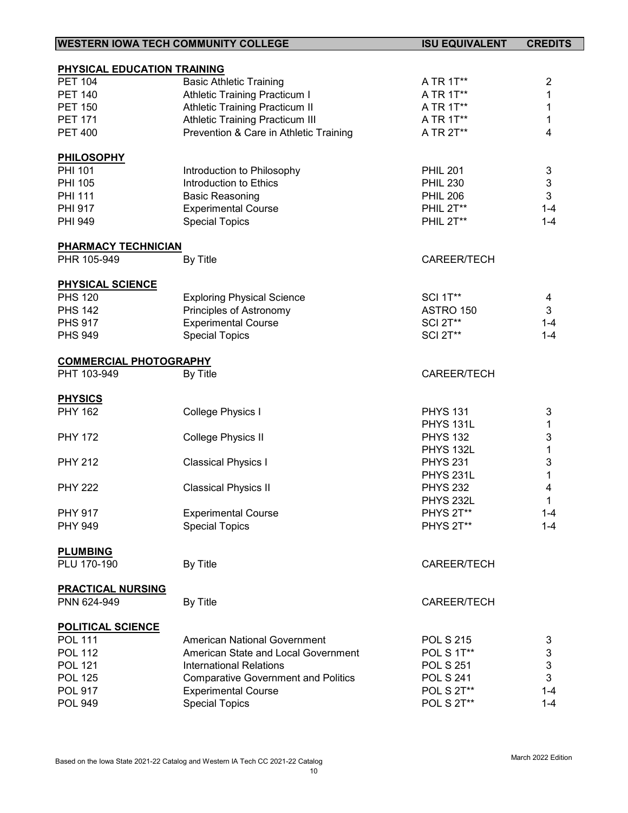| <b>WESTERN IOWA TECH COMMUNITY COLLEGE</b> |                                            | <b>ISU EQUIVALENT</b> | <b>CREDITS</b>            |
|--------------------------------------------|--------------------------------------------|-----------------------|---------------------------|
|                                            |                                            |                       |                           |
| PHYSICAL EDUCATION TRAINING                |                                            |                       |                           |
| <b>PET 104</b>                             | <b>Basic Athletic Training</b>             | A TR 1T**             | $\overline{c}$            |
| <b>PET 140</b>                             | <b>Athletic Training Practicum I</b>       | A TR 1T**             | 1                         |
| <b>PET 150</b>                             | Athletic Training Practicum II             | A TR 1T**             | 1                         |
| <b>PET 171</b>                             | <b>Athletic Training Practicum III</b>     | A TR 1T**             | 1                         |
| <b>PET 400</b>                             | Prevention & Care in Athletic Training     | A TR 2T**             | 4                         |
| <b>PHILOSOPHY</b>                          |                                            |                       |                           |
| <b>PHI 101</b>                             | Introduction to Philosophy                 | <b>PHIL 201</b>       | $\ensuremath{\mathsf{3}}$ |
| <b>PHI 105</b>                             | Introduction to Ethics                     | <b>PHIL 230</b>       | $\ensuremath{\mathsf{3}}$ |
| <b>PHI 111</b>                             | <b>Basic Reasoning</b>                     | <b>PHIL 206</b>       | 3                         |
| <b>PHI 917</b>                             | <b>Experimental Course</b>                 | PHIL 2T**             | $1 - 4$                   |
| <b>PHI 949</b>                             | <b>Special Topics</b>                      | PHIL 2T**             | $1 - 4$                   |
| <b>PHARMACY TECHNICIAN</b>                 |                                            |                       |                           |
| PHR 105-949                                | By Title                                   | CAREER/TECH           |                           |
|                                            |                                            |                       |                           |
| <b>PHYSICAL SCIENCE</b>                    |                                            |                       |                           |
| <b>PHS 120</b>                             | <b>Exploring Physical Science</b>          | <b>SCI 1T**</b>       | 4                         |
| <b>PHS 142</b>                             | Principles of Astronomy                    | ASTRO 150             | 3                         |
| <b>PHS 917</b>                             | <b>Experimental Course</b>                 | <b>SCI 2T**</b>       | $1 - 4$                   |
| <b>PHS 949</b>                             | <b>Special Topics</b>                      | <b>SCI 2T**</b>       | $1 - 4$                   |
| <b>COMMERCIAL PHOTOGRAPHY</b>              |                                            |                       |                           |
| PHT 103-949                                | By Title                                   | CAREER/TECH           |                           |
|                                            |                                            |                       |                           |
| <b>PHYSICS</b>                             |                                            |                       |                           |
| <b>PHY 162</b>                             | College Physics I                          | <b>PHYS 131</b>       | 3                         |
|                                            |                                            | PHYS 131L             | 1                         |
| <b>PHY 172</b>                             | College Physics II                         | <b>PHYS 132</b>       | 3                         |
|                                            |                                            | PHYS 132L             | $\mathbf 1$               |
| <b>PHY 212</b>                             | <b>Classical Physics I</b>                 | <b>PHYS 231</b>       | 3                         |
|                                            |                                            | PHYS 231L             | $\mathbf{1}$              |
| <b>PHY 222</b>                             | <b>Classical Physics II</b>                | <b>PHYS 232</b>       | 4                         |
|                                            |                                            | PHYS 232L             | 1                         |
| <b>PHY 917</b>                             | <b>Experimental Course</b>                 | PHYS 2T**             | $1 - 4$                   |
| <b>PHY 949</b>                             | <b>Special Topics</b>                      | PHYS 2T**             | $1 - 4$                   |
| <b>PLUMBING</b>                            |                                            |                       |                           |
| PLU 170-190                                | By Title                                   | CAREER/TECH           |                           |
| <b>PRACTICAL NURSING</b>                   |                                            |                       |                           |
| PNN 624-949                                | By Title                                   | CAREER/TECH           |                           |
|                                            |                                            |                       |                           |
| <b>POLITICAL SCIENCE</b>                   |                                            |                       |                           |
| <b>POL 111</b>                             | <b>American National Government</b>        | <b>POL S 215</b>      | 3                         |
| <b>POL 112</b>                             | American State and Local Government        | POL S 1T**            | $\ensuremath{\mathsf{3}}$ |
| <b>POL 121</b>                             | <b>International Relations</b>             | <b>POL S 251</b>      | $\mathbf{3}$              |
| <b>POL 125</b>                             | <b>Comparative Government and Politics</b> | <b>POL S 241</b>      | 3                         |
| <b>POL 917</b>                             | <b>Experimental Course</b>                 | <b>POL S 2T**</b>     | $1 - 4$                   |
| <b>POL 949</b>                             | <b>Special Topics</b>                      | POL S 2T**            | $1 - 4$                   |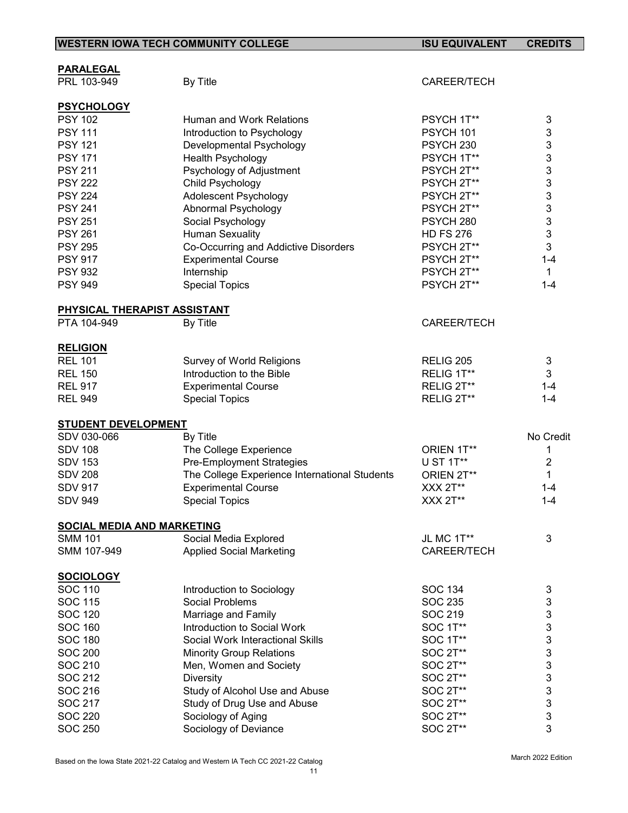|                                                     | <b>WESTERN IOWA TECH COMMUNITY COLLEGE</b>    | <b>ISU EQUIVALENT</b> | <b>CREDITS</b> |
|-----------------------------------------------------|-----------------------------------------------|-----------------------|----------------|
|                                                     |                                               |                       |                |
| <b>PARALEGAL</b><br>PRL 103-949                     | By Title                                      | CAREER/TECH           |                |
|                                                     |                                               |                       |                |
| <b>PSYCHOLOGY</b>                                   |                                               |                       |                |
| <b>PSY 102</b>                                      | Human and Work Relations                      | PSYCH 1T**            | 3              |
| <b>PSY 111</b>                                      | Introduction to Psychology                    | PSYCH 101             | $\mathfrak{B}$ |
| <b>PSY 121</b>                                      | Developmental Psychology                      | PSYCH <sub>230</sub>  | $\mathbf{3}$   |
| <b>PSY 171</b>                                      | Health Psychology                             | PSYCH 1T**            | 3              |
| <b>PSY 211</b>                                      | Psychology of Adjustment                      | PSYCH 2T**            | 3              |
| <b>PSY 222</b>                                      | Child Psychology                              | PSYCH 2T**            | 3              |
| <b>PSY 224</b>                                      | Adolescent Psychology                         | PSYCH 2T**            | 3              |
| <b>PSY 241</b>                                      | Abnormal Psychology                           | PSYCH 2T**            | 3              |
| <b>PSY 251</b>                                      | Social Psychology                             | PSYCH <sub>280</sub>  | 3              |
| <b>PSY 261</b>                                      | <b>Human Sexuality</b>                        | <b>HD FS 276</b>      | 3              |
| <b>PSY 295</b>                                      | Co-Occurring and Addictive Disorders          | PSYCH 2T**            | 3              |
| <b>PSY 917</b>                                      | <b>Experimental Course</b>                    | PSYCH 2T**            | $1 - 4$        |
| <b>PSY 932</b>                                      | Internship                                    | PSYCH 2T**            | $\mathbf{1}$   |
| <b>PSY 949</b>                                      | <b>Special Topics</b>                         | PSYCH 2T**            | $1 - 4$        |
| PHYSICAL THERAPIST ASSISTANT                        |                                               |                       |                |
| PTA 104-949                                         | By Title                                      | <b>CAREER/TECH</b>    |                |
|                                                     |                                               |                       |                |
| <b>RELIGION</b>                                     |                                               |                       |                |
| <b>REL 101</b>                                      | Survey of World Religions                     | <b>RELIG 205</b>      | 3              |
| <b>REL 150</b>                                      | Introduction to the Bible                     | RELIG 1T**            | 3              |
| <b>REL 917</b>                                      | <b>Experimental Course</b>                    | RELIG 2T**            | $1 - 4$        |
| <b>REL 949</b>                                      | <b>Special Topics</b>                         | RELIG 2T**            | $1 - 4$        |
| <b>STUDENT DEVELOPMENT</b>                          |                                               |                       |                |
| SDV 030-066                                         | By Title                                      |                       | No Credit      |
| <b>SDV 108</b>                                      | The College Experience                        | ORIEN 1T**            | 1              |
| <b>SDV 153</b>                                      | Pre-Employment Strategies                     | U ST 1T**             | $\overline{2}$ |
| <b>SDV 208</b>                                      | The College Experience International Students | ORIEN 2T**            | 1              |
| <b>SDV 917</b>                                      | <b>Experimental Course</b>                    | XXX 2T**              | $1 - 4$        |
| <b>SDV 949</b>                                      | <b>Special Topics</b>                         | $XXX 2T**$            | $1 - 4$        |
|                                                     |                                               |                       |                |
| <b>SOCIAL MEDIA AND MARKETING</b><br><b>SMM 101</b> | Social Media Explored                         | JL MC 1T**            | 3              |
| SMM 107-949                                         | <b>Applied Social Marketing</b>               | CAREER/TECH           |                |
|                                                     |                                               |                       |                |
| <b>SOCIOLOGY</b>                                    |                                               |                       |                |
| <b>SOC 110</b>                                      | Introduction to Sociology                     | <b>SOC 134</b>        | 3              |
| <b>SOC 115</b>                                      | Social Problems                               | <b>SOC 235</b>        | 3              |
| <b>SOC 120</b>                                      | Marriage and Family                           | SOC 219               | 3              |
| <b>SOC 160</b>                                      | Introduction to Social Work                   | SOC 1T**              | 3              |
| <b>SOC 180</b>                                      | Social Work Interactional Skills              | SOC 1T**              | 3              |
| <b>SOC 200</b>                                      | <b>Minority Group Relations</b>               | SOC 2T**              | 3              |
| SOC 210                                             | Men, Women and Society                        | SOC 2T**              | 3              |
| SOC 212                                             | <b>Diversity</b>                              | SOC 2T**              | 3              |
| SOC 216                                             | Study of Alcohol Use and Abuse                | SOC 2T**              | 3              |
| <b>SOC 217</b>                                      | Study of Drug Use and Abuse                   | SOC 2T**              | 3              |

SOC 220 Sociology of Aging SOC 2T\*\* 3 SOC 250 Sociology of Deviance SOC 2T\*\* 3